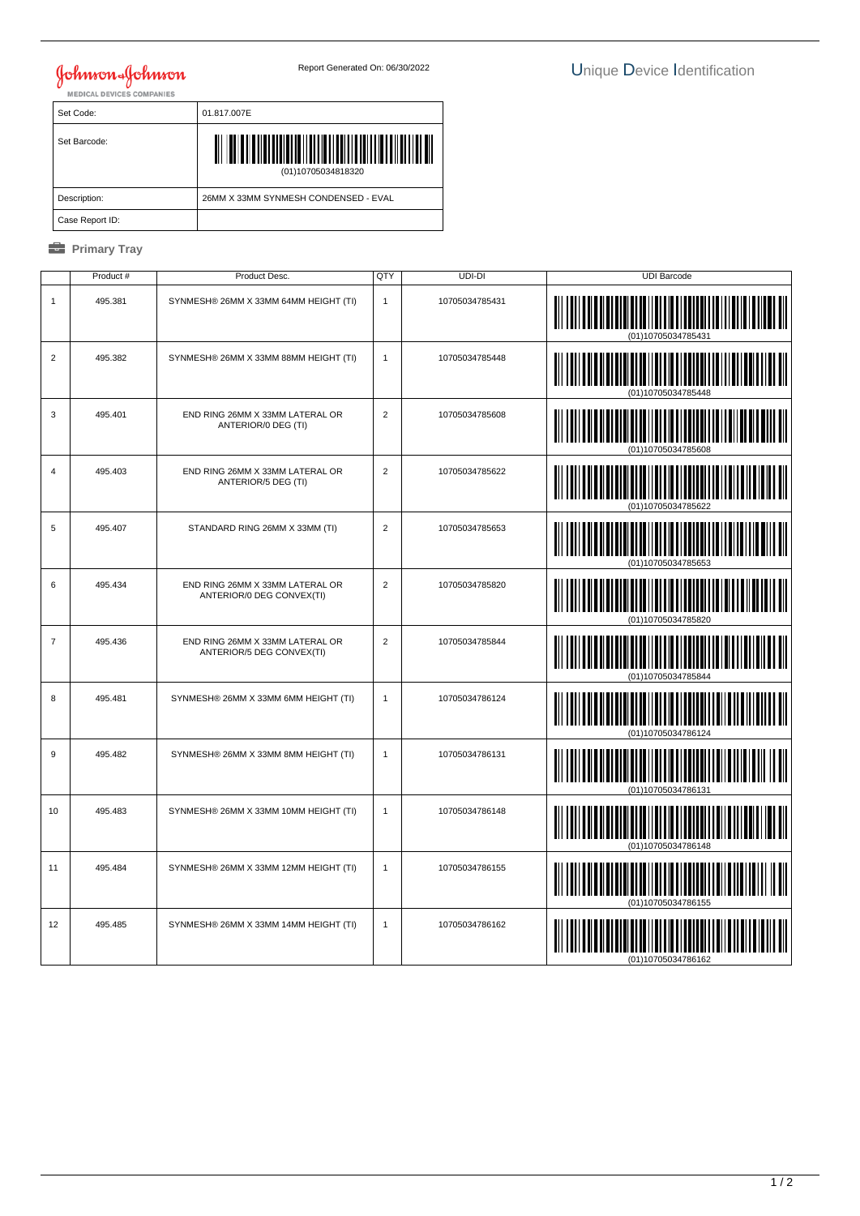## **Johnson & Johnson**

| Set Code:       | 01.817.007E                          |
|-----------------|--------------------------------------|
| Set Barcode:    | Ш<br>(01)10705034818320              |
| Description:    | 26MM X 33MM SYNMESH CONDENSED - EVAL |
| Case Report ID: |                                      |

## *<u><b>* Primary Tray</u>

|                  | Product # | Product Desc.                                                | QTY            | UDI-DI         | <b>UDI Barcode</b> |
|------------------|-----------|--------------------------------------------------------------|----------------|----------------|--------------------|
| $\mathbf{1}$     | 495.381   | SYNMESH® 26MM X 33MM 64MM HEIGHT (TI)                        | $\mathbf{1}$   | 10705034785431 | (01)10705034785431 |
| $\overline{2}$   | 495.382   | SYNMESH® 26MM X 33MM 88MM HEIGHT (TI)                        | $\mathbf{1}$   | 10705034785448 | (01)10705034785448 |
| 3                | 495.401   | END RING 26MM X 33MM LATERAL OR<br>ANTERIOR/0 DEG (TI)       | $\overline{2}$ | 10705034785608 |                    |
| $\overline{4}$   | 495.403   | END RING 26MM X 33MM LATERAL OR<br>ANTERIOR/5 DEG (TI)       | $\overline{2}$ | 10705034785622 |                    |
| 5                | 495.407   | STANDARD RING 26MM X 33MM (TI)                               | $\overline{2}$ | 10705034785653 |                    |
| 6                | 495.434   | END RING 26MM X 33MM LATERAL OR<br>ANTERIOR/0 DEG CONVEX(TI) | $\overline{2}$ | 10705034785820 |                    |
| $\overline{7}$   | 495.436   | END RING 26MM X 33MM LATERAL OR<br>ANTERIOR/5 DEG CONVEX(TI) | $\overline{2}$ | 10705034785844 | (01)10705034785844 |
| 8                | 495.481   | SYNMESH® 26MM X 33MM 6MM HEIGHT (TI)                         | $\mathbf{1}$   | 10705034786124 |                    |
| $\boldsymbol{9}$ | 495.482   | SYNMESH® 26MM X 33MM 8MM HEIGHT (TI)                         | $\mathbf{1}$   | 10705034786131 | <b>IIII</b> IIII   |
| 10               | 495.483   | SYNMESH® 26MM X 33MM 10MM HEIGHT (TI)                        | $\mathbf{1}$   | 10705034786148 |                    |
| 11               | 495.484   | SYNMESH® 26MM X 33MM 12MM HEIGHT (TI)                        | $\mathbf{1}$   | 10705034786155 | (01)10705034786155 |
| 12               | 495.485   | SYNMESH® 26MM X 33MM 14MM HEIGHT (TI)                        | $\mathbf{1}$   | 10705034786162 |                    |